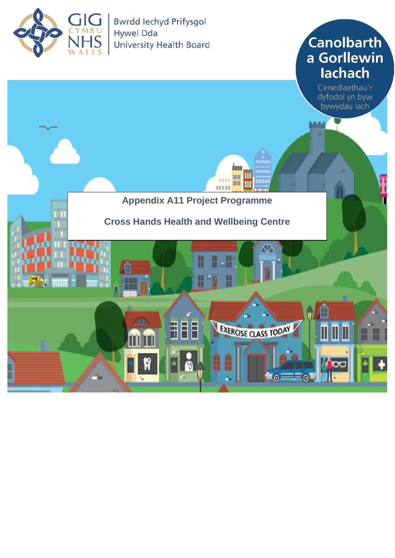

**Canolbarth** a Gorllewin lachach

Cenedlaethau'r dyfodol yn byw bywydau iach

n



1333

ш Ш

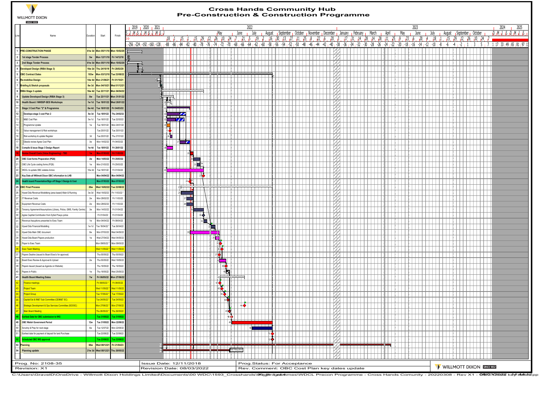

## **Cross Hands Community Hub**

|    | <b>WILLMOTT DIXON</b><br><b>SINCE 1852</b>                                               |               |                              |                                                               |                                                                                                                |                            |                              |                                                                                                           |                    |               |               |         |              |        |                 |                             |                 | <b>Pre-Construction &amp; Construction Programme</b>        |                                                                                             |           |       |                |                       |        |      |      |                    |      |            |                           |  |  |                              |              |                                                                                                                                                    |      |
|----|------------------------------------------------------------------------------------------|---------------|------------------------------|---------------------------------------------------------------|----------------------------------------------------------------------------------------------------------------|----------------------------|------------------------------|-----------------------------------------------------------------------------------------------------------|--------------------|---------------|---------------|---------|--------------|--------|-----------------|-----------------------------|-----------------|-------------------------------------------------------------|---------------------------------------------------------------------------------------------|-----------|-------|----------------|-----------------------|--------|------|------|--------------------|------|------------|---------------------------|--|--|------------------------------|--------------|----------------------------------------------------------------------------------------------------------------------------------------------------|------|
|    |                                                                                          |               |                              |                                                               | 2019 2020 2021                                                                                                 |                            |                              |                                                                                                           |                    |               | 2022          |         |              |        |                 |                             |                 |                                                             |                                                                                             |           |       |                |                       |        | 2023 |      |                    |      |            |                           |  |  |                              |              | 2024                                                                                                                                               | 2025 |
|    |                                                                                          |               |                              |                                                               | .u.l.,M.iS.,u.,M.iS.,u.,M.iS.,u <sup>.</sup>                                                                   |                            |                              |                                                                                                           | <mark>ı</mark> May | June          |               | July    | August       |        |                 |                             |                 | September poctober pNovember pDecember pDanuary pFebruary p |                                                                                             |           |       | March          | April                 | May    |      | June |                    | July |            | August September October  |  |  |                              |              | . թ. <u>թ. թ. թ. թ. թ. թ</u> .                                                                                                                     |      |
|    | Name                                                                                     | Duration      | Start                        | Finish                                                        | 18, 1                                                                                                          | 15.                        |                              | $\frac{15}{12}$ , $\frac{29}{12}$ , $\frac{12}{12}$ , $\frac{26}{10}$ , $\frac{10}{12}$ , $\frac{24}{12}$ |                    |               | $-21$<br>- 15 | 19      | 16<br>- 12   | $-30.$ | 13              | $11 \t 25$<br>127.          | -8              | 122                                                         | 120<br>-3                                                                                   | $17 - 31$ | 14.28 |                | $14$ $128$ $11$ $125$ | 9.123. | -6   |      | $1^{20}$ , $1^4$ . |      | $18, 11$ . |                           |  |  | $15$ , 29, 12, 26, 10, 24, 7 |              |                                                                                                                                                    |      |
|    |                                                                                          |               |                              |                                                               | -256 - 224 - 192 - 160 - 128 - 188 - 86 - 84 - 82 - 80                                                         |                            |                              | $1 - 78 + 76$                                                                                             | . -74 . -72 . -70  | 1 -68 1 -66 1 | i -64 i       | i -62 i | -60<br>-58 i | ו 56⊦  | -54 - 52 - 50 - |                             | -48   -46   -44 | -42                                                         | . 10- ، 12- ، 14- ، 16- ، 18- ، 20- ، 22- ، 24- ، 26- ، 28- ، 30- ، 34- ، 36- ، 36- ، 40- ، |           |       |                |                       |        |      |      |                    |      |            |                           |  |  |                              |              | <sub>ا</sub> 97 <sub>ا</sub> 81 <sub>ا</sub> 58 <sub>ا</sub> 49 <sub>ا</sub> 33 <sub>ا</sub> 17 1 <sub>-</sub> 17 1 - 17 - 18 1 - 18 - 19 - 18 - 1 |      |
|    | 1 PRE-CONSTRUCTION PHASE                                                                 |               |                              | 61w 3d Mon 05/11/18 Mon 10/02/20                              |                                                                                                                |                            |                              |                                                                                                           |                    |               |               |         |              |        |                 |                             |                 |                                                             |                                                                                             |           |       |                |                       |        |      |      |                    |      |            |                           |  |  |                              |              |                                                                                                                                                    |      |
|    | 1st stage Tender Process                                                                 | 5w            |                              | Mon 12/11/18 Fri 14/12/18                                     |                                                                                                                |                            |                              |                                                                                                           |                    |               |               |         |              |        |                 |                             |                 |                                                             |                                                                                             |           |       |                |                       |        |      |      |                    |      |            |                           |  |  |                              | $\Box$       |                                                                                                                                                    |      |
|    | 2nd Stage Tender Process                                                                 |               |                              | 61w 3d Mon 05/11/18 Mon 10/02/20                              |                                                                                                                |                            |                              |                                                                                                           |                    |               |               |         |              |        |                 |                             |                 |                                                             |                                                                                             |           |       |                |                       |        |      |      |                    |      |            |                           |  |  |                              |              |                                                                                                                                                    |      |
|    | 4 Developed Design (RIBA Stage 3)                                                        |               | 16w 2d Thu 24/10/19          | Fri 28/02/20                                                  | H,                                                                                                             |                            |                              |                                                                                                           |                    |               |               |         |              |        |                 |                             |                 |                                                             |                                                                                             |           |       |                |                       |        |      |      |                    |      |            |                           |  |  |                              |              |                                                                                                                                                    |      |
|    | 5 OBC Contract Dates                                                                     |               | 183w Mon 03/12/18            | ue 23/08/22                                                   | a mara 1                                                                                                       |                            |                              |                                                                                                           |                    |               |               |         |              |        |                 |                             |                 |                                                             |                                                                                             |           |       |                |                       |        |      |      |                    |      |            |                           |  |  |                              |              |                                                                                                                                                    |      |
|    | 6 Re-mobilise Design                                                                     |               | 14w 4d Mon 21/06/21          | Fri 01/10/21                                                  | $\sqrt{2}$                                                                                                     |                            |                              |                                                                                                           |                    |               |               |         |              |        |                 |                             |                 |                                                             |                                                                                             |           |       |                |                       |        |      |      |                    |      |            |                           |  |  |                              |              |                                                                                                                                                    |      |
|    | 7 Briefing & Sketch proposals                                                            |               | 8w 3d Mon 04/10/21           | Wed 01/12/21                                                  |                                                                                                                |                            |                              |                                                                                                           |                    |               |               |         |              |        |                 |                             |                 |                                                             |                                                                                             |           |       |                |                       |        |      |      |                    |      |            |                           |  |  |                              |              |                                                                                                                                                    |      |
|    | 8 RIBA Stage 3 update                                                                    |               |                              | 16w 4d Tue 23/11/21 Mon 04/04/22                              | <del>.</del>                                                                                                   |                            |                              | ĦΙ                                                                                                        |                    |               |               |         |              |        |                 |                             |                 |                                                             |                                                                                             |           |       |                |                       |        |      |      |                    |      |            |                           |  |  | $\Box$                       |              |                                                                                                                                                    |      |
|    | Update Developed Design (RIBA Stage 3)                                                   | $8w$          |                              | Tue 23/11/21 Mon 31/01/22                                     | स्रोप                                                                                                          |                            |                              |                                                                                                           |                    |               |               |         |              |        |                 |                             |                 |                                                             |                                                                                             |           |       |                |                       |        |      |      |                    |      |            |                           |  |  |                              |              |                                                                                                                                                    |      |
|    | Health Board / NWSSP-SES Workshops                                                       |               |                              | 1w 1d Tue 18/01/22 Wed 26/01/22                               | 9 T .                                                                                                          |                            |                              |                                                                                                           |                    |               |               |         |              |        |                 |                             |                 |                                                             |                                                                                             |           |       |                |                       |        |      |      |                    |      |            |                           |  |  |                              |              |                                                                                                                                                    |      |
|    | Stage 3 Cost Plan "2" & Programme                                                        |               | 6w 4d Tue 18/01/22           | Fri 04/03/22                                                  | سينبث                                                                                                          |                            |                              |                                                                                                           |                    |               |               |         |              |        |                 |                             |                 |                                                             |                                                                                             |           |       |                |                       |        |      |      |                    |      |            |                           |  |  |                              |              |                                                                                                                                                    |      |
|    | Develope stage 3 cost Plan 2                                                             |               | 5w 3d Tue 18/01/22           | Thu 24/02/22                                                  |                                                                                                                | $\boldsymbol{\mathscr{L}}$ |                              |                                                                                                           |                    |               |               |         |              |        |                 |                             |                 |                                                             |                                                                                             |           |       |                |                       |        |      |      |                    |      |            |                           |  |  |                              |              |                                                                                                                                                    |      |
|    | M&E Cost Plan                                                                            | $5w$ 1d       | Tue 18/01/2                  | Tue 22/02/2                                                   | ⊞                                                                                                              | $\overline{\mathbf{z}}$    |                              |                                                                                                           |                    |               |               |         |              |        |                 |                             |                 |                                                             |                                                                                             |           |       |                |                       |        |      |      |                    |      |            |                           |  |  |                              |              |                                                                                                                                                    |      |
|    | Programme Update                                                                         | $1\mathrm{W}$ | Tue 18/01/22                 | Mon 24/01/22                                                  | .F                                                                                                             |                            |                              |                                                                                                           |                    |               |               |         |              |        |                 |                             |                 |                                                             |                                                                                             |           |       |                |                       |        |      |      |                    |      |            |                           |  |  |                              |              |                                                                                                                                                    |      |
|    | Value management & Risk workshops                                                        |               | Tue 25/01/22                 | Tue 25/01/22                                                  | $\frac{1}{15}$                                                                                                 |                            |                              |                                                                                                           |                    |               |               |         |              |        |                 |                             |                 |                                                             |                                                                                             |           |       |                |                       |        |      |      |                    |      |            |                           |  |  | $\cdots$                     |              |                                                                                                                                                    |      |
|    | Risk workshop & update Register                                                          | 3d            | Tue 25/01/22                 | Thu 27/01/22                                                  | $\frac{1}{16}$                                                                                                 |                            |                              |                                                                                                           |                    |               |               |         |              |        |                 |                             |                 |                                                             |                                                                                             |           |       |                |                       |        |      |      |                    |      |            |                           |  |  |                              |              |                                                                                                                                                    |      |
|    | Gleeds review Agree Cost Plan                                                            | $3w$          | Mon 14/02/22                 | Fri 04/03/22                                                  |                                                                                                                | $\mathbb{Z}$               |                              |                                                                                                           |                    |               |               |         |              |        |                 |                             |                 |                                                             |                                                                                             |           |       |                |                       |        |      |      |                    |      |            |                           |  |  |                              |              |                                                                                                                                                    |      |
|    | Compile & Issue Stage 3 Design Report                                                    |               | 1w 4d Tue 18/01/22           | Fri 28/01/22                                                  |                                                                                                                |                            |                              |                                                                                                           |                    |               |               |         |              |        |                 |                             |                 |                                                             |                                                                                             |           |       |                |                       |        |      |      |                    |      |            |                           |  |  |                              |              |                                                                                                                                                    |      |
| 19 | <b>Revise Overall Costs (Value Engineering) - TBD</b>                                    |               | 1w   Mon 07/03/2             | Fri 11/03/2                                                   | H                                                                                                              |                            |                              |                                                                                                           |                    |               |               |         |              |        |                 |                             |                 |                                                             |                                                                                             |           |       |                |                       |        |      |      |                    |      |            |                           |  |  |                              |              |                                                                                                                                                    |      |
| 20 | OBC Cost forms Preperation (PQS)                                                         | 2w            | Mon 14/03/22                 | Fri 25/03/22                                                  |                                                                                                                |                            | <b>Contract</b>              |                                                                                                           |                    |               |               |         |              |        |                 |                             |                 |                                                             |                                                                                             |           |       |                |                       |        |      |      |                    |      |            |                           |  |  | $\Box$                       |              |                                                                                                                                                    |      |
|    | OBC Life Cycle costing forms (PQS)                                                       | $1W$          | Mon 21/03/22                 | Fri 25/03/22                                                  | Π                                                                                                              |                            | $\mathbf{a}$ is $\mathbf{w}$ |                                                                                                           |                    |               |               |         |              |        |                 |                             |                 |                                                             |                                                                                             |           |       |                |                       |        |      |      |                    |      |            |                           |  |  |                              |              |                                                                                                                                                    |      |
|    | WDCL to update OBC estates Annex                                                         |               | 10w 4d Tue 18/01/22          | Fri 01/04/22                                                  |                                                                                                                |                            |                              |                                                                                                           |                    |               |               |         |              |        |                 |                             |                 |                                                             |                                                                                             |           |       |                |                       |        |      |      |                    |      |            |                           |  |  | $\Box$                       |              |                                                                                                                                                    |      |
| 23 | Key Date all Willmott Dixon OBC information to LHB                                       |               | Mon 04/04/22                 | Mon 04/04/22                                                  |                                                                                                                |                            |                              |                                                                                                           |                    |               |               |         |              |        |                 |                             |                 |                                                             |                                                                                             |           |       |                |                       |        |      |      |                    |      |            |                           |  |  |                              |              |                                                                                                                                                    |      |
|    | Health board Presentation/Sign off Stage 3 Design & Cost                                 |               | Mon 07/03/22                 | Mon 07/03/2                                                   |                                                                                                                |                            |                              |                                                                                                           |                    |               |               |         |              |        |                 |                             |                 |                                                             |                                                                                             |           |       |                |                       |        |      |      |                    |      |            |                           |  |  |                              |              |                                                                                                                                                    |      |
|    | 25 OBC Final Process                                                                     | 26w           | Wed 16/02/22                 | ue 23/08/22                                                   |                                                                                                                | 25                         |                              |                                                                                                           |                    |               |               |         |              |        |                 |                             |                 |                                                             |                                                                                             |           |       |                |                       |        |      |      |                    |      |            |                           |  |  |                              |              |                                                                                                                                                    |      |
|    | Hywel Dda Revenue Modelleing (area based) Main & Running                                 | 3w3d          | Wed 16/02/22                 | hi 11/03/22                                                   | H                                                                                                              |                            |                              |                                                                                                           |                    |               |               |         |              |        |                 |                             |                 |                                                             |                                                                                             |           |       |                |                       |        |      |      |                    |      |            |                           |  |  |                              |              |                                                                                                                                                    |      |
|    | <b>IT Revenue Costs</b>                                                                  | 2w            | Mon 28/02/22                 | Fri 11/03/22                                                  | $\mathbf{H}$                                                                                                   |                            |                              |                                                                                                           |                    |               |               |         |              |        |                 |                             |                 |                                                             |                                                                                             |           |       |                |                       |        |      |      |                    |      |            |                           |  |  | $\cdots$                     |              |                                                                                                                                                    |      |
| 28 | Equipment Revenue Costs                                                                  | $2{\sf w}$    | Mon 28/02/22                 | Fri 11/03/22                                                  | $\mathbf{H}$                                                                                                   |                            |                              |                                                                                                           |                    |               |               |         |              |        |                 |                             |                 |                                                             |                                                                                             |           |       |                |                       |        |      |      |                    |      |            |                           |  |  |                              |              |                                                                                                                                                    |      |
|    | Tenancy Agreement/Assumptions (Library, Police, GMS, Family Centre)                      | 3w            | Mon 14/03/22                 | Fri 01/04/22                                                  |                                                                                                                |                            |                              |                                                                                                           |                    |               |               |         |              |        |                 |                             |                 |                                                             |                                                                                             |           |       |                |                       |        |      |      |                    |      |            |                           |  |  |                              |              |                                                                                                                                                    |      |
|    | Agree Captital Contribution from Dyfed Powys police                                      |               | Fri 01/04/22                 | Fri 01/04/22                                                  |                                                                                                                |                            |                              | 30                                                                                                        |                    |               |               |         |              |        |                 |                             |                 |                                                             |                                                                                             |           |       |                |                       |        |      |      |                    |      |            |                           |  |  |                              |              |                                                                                                                                                    |      |
|    | Revenue Assuptions presented to Exec Team                                                | $1W$          | Mon 04/04/2                  | Fri 08/04/22                                                  | П                                                                                                              |                            |                              | 31                                                                                                        |                    |               |               |         |              |        |                 |                             |                 |                                                             |                                                                                             |           |       |                |                       |        |      |      |                    |      |            |                           |  |  |                              |              |                                                                                                                                                    |      |
|    | Hywel Dda Financial Modelling                                                            | 1w 1d         | Tue 19/04/22                 | Tue 26/04/22                                                  |                                                                                                                |                            |                              | 32                                                                                                        |                    |               |               |         |              |        |                 |                             |                 |                                                             |                                                                                             |           |       |                |                       |        |      |      |                    |      |            |                           |  |  |                              |              |                                                                                                                                                    |      |
|    | Hywel Dda Main OBC document                                                              | 8w            | Mon 07/03/22                 | Ved 04/05/22                                                  | H                                                                                                              |                            |                              |                                                                                                           |                    |               |               |         |              |        |                 |                             |                 |                                                             |                                                                                             |           |       |                |                       |        |      |      |                    |      |            |                           |  |  |                              | $\mathbf{1}$ |                                                                                                                                                    |      |
|    | Hywel Dda Board Papers production                                                        | $1\mathrm{W}$ | Wed 27/04/22                 | Ved 04/05/22                                                  | $\mathbb{H}$                                                                                                   |                            |                              |                                                                                                           |                    |               |               |         |              |        |                 |                             |                 |                                                             |                                                                                             |           |       |                |                       |        |      |      |                    |      |            |                           |  |  |                              | $\mathbf{1}$ |                                                                                                                                                    |      |
|    | Paper to Exec Team                                                                       |               | Mon 09/05/22                 | fon 09/05/22                                                  |                                                                                                                |                            |                              |                                                                                                           |                    |               |               |         |              |        |                 |                             |                 |                                                             |                                                                                             |           |       |                |                       |        |      |      |                    |      |            |                           |  |  |                              |              |                                                                                                                                                    |      |
|    | <b>Exec Team Meeting</b>                                                                 |               | Ved 11/05/                   | led 11/05/2                                                   |                                                                                                                |                            |                              |                                                                                                           |                    |               |               |         |              |        |                 |                             |                 |                                                             |                                                                                             |           |       |                |                       |        |      |      |                    |      |            |                           |  |  |                              |              |                                                                                                                                                    |      |
|    | Papers Dealine (issued to Board Exec's for approval)                                     |               | Thu 05/05/2                  | Thu 05/05/22                                                  | $\mathbf{H}$                                                                                                   |                            |                              |                                                                                                           |                    |               |               |         |              |        |                 |                             |                 |                                                             |                                                                                             |           |       |                |                       |        |      |      |                    |      |            |                           |  |  |                              |              |                                                                                                                                                    |      |
|    | Board Exec Review & Approval & Upload                                                    | $2w$          | Thu 05/05/23                 | Ved 18/05/22                                                  | $\mathbf{r}$                                                                                                   |                            |                              |                                                                                                           |                    |               |               |         |              |        |                 |                             |                 |                                                             |                                                                                             |           |       |                |                       |        |      |      |                    |      |            |                           |  |  |                              |              |                                                                                                                                                    |      |
|    | Papers Issued (Issued as Agenda on Website)                                              |               | Thu 19/05/22                 | Thu 19/05/22                                                  |                                                                                                                |                            |                              |                                                                                                           | 39 <sup>4</sup>    |               |               |         |              |        |                 |                             |                 |                                                             |                                                                                             |           |       |                |                       |        |      |      |                    |      |            |                           |  |  |                              |              |                                                                                                                                                    |      |
|    | Papers In Public                                                                         | 1w            | Thu 19/05/22                 | Ved 25/05/22                                                  |                                                                                                                |                            |                              |                                                                                                           | "×I                |               |               |         |              |        |                 |                             |                 |                                                             |                                                                                             |           |       |                |                       |        |      |      |                    |      |            |                           |  |  |                              |              |                                                                                                                                                    |      |
|    | <b>Health Board Meeting Dates</b>                                                        | $7w$          |                              | Fri 06/05/22 Mon 27/06/22                                     |                                                                                                                |                            |                              |                                                                                                           |                    |               |               |         |              |        |                 |                             |                 |                                                             |                                                                                             |           |       |                |                       |        |      |      |                    |      |            |                           |  |  |                              |              |                                                                                                                                                    |      |
|    | Finance meetings                                                                         |               | Fri 06/05/22                 | Fri 06/05/2:<br>Ved 11/05/2                                   |                                                                                                                |                            |                              |                                                                                                           |                    |               |               |         |              |        |                 |                             |                 |                                                             |                                                                                             |           |       |                |                       |        |      |      |                    |      |            |                           |  |  |                              |              |                                                                                                                                                    |      |
|    | <b>Project Team</b>                                                                      |               | Wed 11/05/2<br>Tue 17/05/2   | Tue 17/05/2                                                   | Н.                                                                                                             |                            |                              |                                                                                                           | $\bullet$          |               |               |         |              |        |                 |                             |                 |                                                             |                                                                                             |           |       |                |                       |        |      |      |                    |      |            |                           |  |  |                              |              |                                                                                                                                                    |      |
|    | <b>Project Group</b>                                                                     |               |                              |                                                               |                                                                                                                |                            |                              |                                                                                                           |                    |               |               |         |              |        |                 |                             |                 |                                                             |                                                                                             |           |       |                |                       |        |      |      |                    |      |            |                           |  |  |                              |              |                                                                                                                                                    |      |
|    | Capital Est & IM&T Sub Committee (CEIM&T SC)                                             |               | Tue 24/05/22                 | Tue 24/05/22                                                  | $\mathbf{H}$                                                                                                   |                            |                              |                                                                                                           |                    |               |               |         |              |        |                 |                             |                 |                                                             |                                                                                             |           |       |                |                       |        |      |      |                    |      |            |                           |  |  |                              |              |                                                                                                                                                    |      |
|    | Strategic Development & Ops Services Committee (SDOSC)                                   |               | Mon 27/06/22 *               | Mon 27/06/22                                                  |                                                                                                                |                            |                              |                                                                                                           |                    |               | [6♦           |         |              |        |                 |                             |                 |                                                             |                                                                                             |           |       |                |                       |        |      |      |                    |      |            |                           |  |  |                              |              |                                                                                                                                                    |      |
|    | <b>Main Board Meeting</b><br>48 Earliest Date for OBC submission to WG                   |               | u 26/05/2<br>Tue 31/05/22    | Tue 31/05/22                                                  |                                                                                                                |                            |                              |                                                                                                           |                    |               |               |         |              |        |                 |                             |                 |                                                             |                                                                                             |           |       |                |                       |        |      |      |                    |      |            |                           |  |  |                              |              |                                                                                                                                                    |      |
|    |                                                                                          |               |                              |                                                               |                                                                                                                |                            |                              |                                                                                                           |                    | 48 4 2        |               |         |              |        |                 |                             |                 |                                                             |                                                                                             |           |       |                |                       |        |      |      |                    |      |            |                           |  |  |                              |              |                                                                                                                                                    |      |
| 50 | 49 OBC Welsh Government Period                                                           | 12w<br>$6w$   | Tue 31/05/22<br>Tue 12/07/22 | Mon 22/08/22<br>Mon 22/08/22                                  | $\mathbb{I}$                                                                                                   |                            |                              |                                                                                                           |                    |               |               |         |              |        |                 |                             |                 |                                                             |                                                                                             |           |       |                |                       |        |      |      |                    |      |            |                           |  |  |                              |              |                                                                                                                                                    |      |
|    | Scrutiny & Prep for next stage<br>Earliest date for payment of deposit for land Purchase |               | Tue 23/08/22                 | Tue 23/08/22                                                  |                                                                                                                |                            |                              |                                                                                                           |                    |               |               |         |              |        |                 |                             |                 |                                                             |                                                                                             |           |       |                |                       |        |      |      |                    |      |            |                           |  |  |                              |              |                                                                                                                                                    |      |
|    |                                                                                          |               |                              |                                                               |                                                                                                                |                            |                              |                                                                                                           |                    |               |               |         |              |        |                 |                             |                 |                                                             |                                                                                             |           |       |                |                       |        |      |      |                    |      |            |                           |  |  |                              |              |                                                                                                                                                    |      |
|    | 52 Scheduled OBC WG approval<br>53 Planning                                              |               | Tue 23/08/22                 | Tue 23/08/22                                                  |                                                                                                                |                            |                              |                                                                                                           |                    |               |               |         |              |        |                 |                             |                 |                                                             |                                                                                             |           |       |                |                       |        |      |      |                    |      |            |                           |  |  |                              |              |                                                                                                                                                    |      |
|    | 54 Planning update                                                                       | <b>66w</b>    |                              | Wed 08/12/21 Fri 21/04/23<br>21w 3d Wed 08/12/21 Thu 26/05/22 | <del>▅▊▗▝▕▝▝▝▝▝▝▝▝▝▝▕▊▝▙▝▝▝▝▝▝</del> ▝▕▓ <del>▝</del> ▆▀ <mark>▓<sup></sup>▀▆▀▛▀▛▀▛▀▛▀▛▀▛▀▛<sup>▆</sup></mark> |                            |                              | <del>dina man</del>                                                                                       |                    | Not Required  |               |         |              |        |                 |                             |                 |                                                             |                                                                                             |           |       | . <del>.</del> |                       |        |      |      |                    |      |            |                           |  |  |                              |              |                                                                                                                                                    |      |
|    |                                                                                          |               |                              |                                                               |                                                                                                                |                            |                              |                                                                                                           |                    |               |               |         |              |        |                 |                             |                 |                                                             |                                                                                             |           |       |                |                       |        |      |      |                    |      |            |                           |  |  |                              |              |                                                                                                                                                    |      |
|    |                                                                                          |               |                              |                                                               |                                                                                                                |                            |                              |                                                                                                           |                    |               |               |         |              |        |                 |                             |                 |                                                             |                                                                                             |           |       |                |                       |        |      |      |                    |      |            |                           |  |  |                              |              |                                                                                                                                                    |      |
|    | Prog. No: 2108-35                                                                        |               |                              |                                                               | Issue Date: 12/11/2018                                                                                         |                            |                              |                                                                                                           |                    |               |               |         |              |        |                 | Prog.Status: For Acceptance |                 |                                                             |                                                                                             |           |       |                |                       |        |      |      |                    |      |            | WILLMOTT DIXON SINCE 1852 |  |  |                              |              |                                                                                                                                                    |      |
|    | Revision: X1                                                                             |               |                              |                                                               | Revision Date: 08/03/2022                                                                                      |                            |                              |                                                                                                           |                    |               |               |         |              |        |                 |                             |                 | Rev. Comment: OBC Cost Plan key dates update                |                                                                                             |           |       |                |                       |        |      |      |                    |      |            |                           |  |  |                              |              |                                                                                                                                                    |      |

C:\Users\GravelD\OneDrive - Willmott Dixon Holdings Limited\Documents\00 WDC\1593\_Crosshands\**@aderlogram**es\WDCL Precon Programme - Cross Hands Comunity - 20220308 - Rev X1 - **©®©3⁄3938 kel∳ detel**spp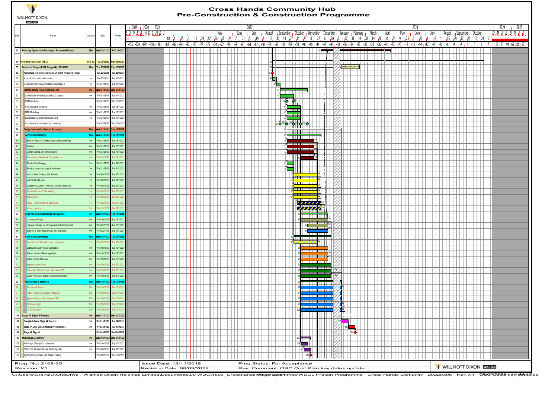

## **Cross Hands Community Hub Pre-Construction & Construction Programme**

|                       | <b>WILLMOTT DIXON</b><br><b>SINCE 1852</b>                                                                                                                                                                           |                        |                              |                                           |                                                      |                           |        |       |            |         |            |                   |                        |             |                           |              |        |                             |                                                                                                                                                                                                                                                                                                                                                     | <b>Pre-Construction &amp; Construction Programme</b>                                                                 |                     |                                                                                               |               |     |  |                                     |     |      |      |  |                                           |  |                                                                                                                                                                                                                               |
|-----------------------|----------------------------------------------------------------------------------------------------------------------------------------------------------------------------------------------------------------------|------------------------|------------------------------|-------------------------------------------|------------------------------------------------------|---------------------------|--------|-------|------------|---------|------------|-------------------|------------------------|-------------|---------------------------|--------------|--------|-----------------------------|-----------------------------------------------------------------------------------------------------------------------------------------------------------------------------------------------------------------------------------------------------------------------------------------------------------------------------------------------------|----------------------------------------------------------------------------------------------------------------------|---------------------|-----------------------------------------------------------------------------------------------|---------------|-----|--|-------------------------------------|-----|------|------|--|-------------------------------------------|--|-------------------------------------------------------------------------------------------------------------------------------------------------------------------------------------------------------------------------------|
|                       |                                                                                                                                                                                                                      |                        |                              |                                           | 2019 2020 2021                                       |                           |        |       |            |         |            |                   |                        | 2022        |                           |              |        |                             |                                                                                                                                                                                                                                                                                                                                                     |                                                                                                                      |                     |                                                                                               |               |     |  |                                     |     | 2023 |      |  |                                           |  | 2025<br>2024                                                                                                                                                                                                                  |
|                       |                                                                                                                                                                                                                      |                        |                              |                                           | . G. M. S. J. M. S. J. M. S. J                       |                           |        |       |            |         |            | May               | June                   |             | July                      | August       |        |                             |                                                                                                                                                                                                                                                                                                                                                     | September Gotober (November December Ganuary (February March                                                         |                     |                                                                                               |               |     |  | $\overline{1}$ April $\overline{1}$ | May |      | June |  | July <b>Haugust September Corporation</b> |  | D., M. L., S. D., M. L., S.,                                                                                                                                                                                                  |
|                       | Name                                                                                                                                                                                                                 | Duration               | Start                        | Finish                                    |                                                      |                           | 18, 11 | . 15. |            | 15, 129 |            | 12, 26, 10, 24, 7 |                        | $-121 - 15$ | 19.                       | 16           | $-30.$ | 13.<br>127                  | $11 \t 25 \t 8$                                                                                                                                                                                                                                                                                                                                     |                                                                                                                      | $122 \t 16$         | , 26, 10, 24, 27, 14, 28, 14, 28, 11, 25, 9, 23, 6, 20, 4, 18, 11, 15, 29, 12, 26, 10, 24, 7, |               |     |  |                                     |     |      |      |  |                                           |  |                                                                                                                                                                                                                               |
|                       |                                                                                                                                                                                                                      |                        |                              |                                           | $-256$ $-224$ $-192$ $-160$ $-128$ $-88$ $-86$ $-84$ |                           |        |       | -82<br>-80 | -78     | -76<br>-74 | 1 - 72 1 - 70     | 1 -68 <sub>1</sub> -66 | i -64 i     | <sub>I</sub> -62 ∣<br>-60 | -58          | -56    |                             |                                                                                                                                                                                                                                                                                                                                                     |                                                                                                                      |                     |                                                                                               |               |     |  |                                     |     |      |      |  |                                           |  | $-54$ $-52$ $-50$ $-48$ $-46$ $-44$ $-42$ $-40$ $-38$ $-36$ $-34$ $-32$ $-30$ $-28$ $-26$ $-24$ $-22$ $-20$ $-18$ $-18$ $-16$ $-14$ $-12$ $-10$ $-8$ $-6$ $-4$ $-2$ $-1$ $-1$ $-3$ $-5$ $-7$ $-1$ $12$ $-33$ $+9$ $-65$ $-81$ |
|                       | <b>Flanning Application Discharge: Reserved Matters</b>                                                                                                                                                              |                        |                              | 18w Wed 30/11/22 Fri 21/04/23             |                                                      |                           |        |       |            |         |            |                   |                        |             |                           |              |        |                             |                                                                                                                                                                                                                                                                                                                                                     |                                                                                                                      | 55                  |                                                                                               |               |     |  |                                     |     |      |      |  |                                           |  |                                                                                                                                                                                                                               |
|                       |                                                                                                                                                                                                                      |                        |                              |                                           |                                                      |                           |        |       |            |         |            |                   |                        |             |                           |              |        |                             |                                                                                                                                                                                                                                                                                                                                                     |                                                                                                                      |                     |                                                                                               |               |     |  |                                     |     |      |      |  |                                           |  |                                                                                                                                                                                                                               |
|                       | <b>56 Final Business Case (FBC)</b>                                                                                                                                                                                  |                        |                              | 58w 3d Tue 23/08/22 Mon 30/10/23          |                                                      |                           |        |       |            |         |            |                   |                        |             |                           |              |        |                             |                                                                                                                                                                                                                                                                                                                                                     | <u> 1989 - 1989 - 1989 - 1989 - 1989 - 1989 - 1989 - 1989 - 1989 - 1989 - 1989 - 1989 - 1989 - 1989 - 1989 - 198</u> |                     |                                                                                               |               |     |  |                                     |     |      |      |  |                                           |  |                                                                                                                                                                                                                               |
|                       | Technical Design (RIBA Stage 4A) - TENDER                                                                                                                                                                            | <b>18w</b>             | Tue 23/08/22                 | Tue 10/01/23                              |                                                      |                           |        |       |            |         |            |                   |                        |             |                           |              |        |                             |                                                                                                                                                                                                                                                                                                                                                     |                                                                                                                      |                     |                                                                                               | RIBA STAGE 4A |     |  |                                     |     |      |      |  |                                           |  |                                                                                                                                                                                                                               |
|                       | Agreement to Commence Stage 4A (Conf. Notice no 1 FBC)                                                                                                                                                               |                        | Tue 23/08/22                 | Tue 23/08/22                              |                                                      |                           |        |       |            |         |            |                   |                        |             |                           |              |        |                             |                                                                                                                                                                                                                                                                                                                                                     |                                                                                                                      |                     |                                                                                               |               |     |  |                                     |     |      |      |  |                                           |  |                                                                                                                                                                                                                               |
|                       | Agree Brief & confirmation notice                                                                                                                                                                                    | 1W                     | Tue 23/08/22                 | Tue 30/08/22                              |                                                      |                           |        |       |            |         |            |                   |                        |             |                           | 59 <b>L.</b> |        |                             |                                                                                                                                                                                                                                                                                                                                                     |                                                                                                                      |                     |                                                                                               |               |     |  |                                     |     |      |      |  |                                           |  |                                                                                                                                                                                                                               |
|                       | Incorporate User Group feedback from Stage 3                                                                                                                                                                         | $1\mathrm{w}$          | Wed 31/08/22                 | Tue 06/09/22                              |                                                      |                           |        |       |            |         |            |                   |                        |             |                           |              | 60     |                             |                                                                                                                                                                                                                                                                                                                                                     |                                                                                                                      |                     |                                                                                               |               |     |  |                                     |     |      |      |  |                                           |  |                                                                                                                                                                                                                               |
| 61<br>62              | <b>BIM Modelling Re-build (Stage 4A)</b><br>Architectural Modelling (including C sheets)                                                                                                                             | 8w                     | Wed 07/09/22                 | Wed 02/11/22                              |                                                      |                           |        |       |            |         |            |                   |                        |             |                           |              |        |                             |                                                                                                                                                                                                                                                                                                                                                     |                                                                                                                      |                     |                                                                                               |               |     |  |                                     |     |      |      |  |                                           |  |                                                                                                                                                                                                                               |
| 63                    | <b>BIM Data Drops</b>                                                                                                                                                                                                | $4w$                   | Wed 07/09/22<br>Wed 21/09/22 | Tue 04/10/22<br>Wed 05/10/22              |                                                      |                           |        |       |            |         |            |                   |                        |             |                           |              |        | ۱Ò                          |                                                                                                                                                                                                                                                                                                                                                     |                                                                                                                      |                     |                                                                                               |               |     |  |                                     |     |      |      |  |                                           |  |                                                                                                                                                                                                                               |
| 64                    | Civil/Structural Modelling                                                                                                                                                                                           | 4w                     | Wed 21/09/22                 | Tue 18/10/22                              |                                                      |                           |        |       |            |         |            |                   |                        |             |                           |              |        | K.                          |                                                                                                                                                                                                                                                                                                                                                     |                                                                                                                      |                     |                                                                                               |               |     |  |                                     |     |      |      |  |                                           |  |                                                                                                                                                                                                                               |
| 65                    | MEP Modelling                                                                                                                                                                                                        | $4w$                   | Wed 21/09/22                 | Tue 18/10/22                              |                                                      |                           |        |       |            |         |            |                   |                        |             |                           |              |        | $\overline{ }$              |                                                                                                                                                                                                                                                                                                                                                     |                                                                                                                      |                     | $\overline{\phantom{a}}$                                                                      |               |     |  |                                     |     |      |      |  |                                           |  |                                                                                                                                                                                                                               |
| 66                    | Landscape/External Works Modelling                                                                                                                                                                                   | $4w$                   | Wed 21/09/22                 | Tue 18/10/22                              |                                                      |                           |        |       |            |         |            |                   |                        |             |                           |              |        | ŧ                           |                                                                                                                                                                                                                                                                                                                                                     |                                                                                                                      |                     | M                                                                                             |               |     |  |                                     |     |      |      |  |                                           |  |                                                                                                                                                                                                                               |
| 67                    | Coordination & clash detection meetings                                                                                                                                                                              |                        | Ned 07/09/22                 | Wed 02/11/22                              |                                                      |                           |        |       |            |         |            |                   |                        |             |                           |              | VOID   |                             | $\begin{picture}(16,10) \put(0,0){\line(1,0){10}} \put(10,0){\line(1,0){10}} \put(10,0){\line(1,0){10}} \put(10,0){\line(1,0){10}} \put(10,0){\line(1,0){10}} \put(10,0){\line(1,0){10}} \put(10,0){\line(1,0){10}} \put(10,0){\line(1,0){10}} \put(10,0){\line(1,0){10}} \put(10,0){\line(1,0){10}} \put(10,0){\line(1,0){10}} \put(10,0){\line(1$ |                                                                                                                      |                     |                                                                                               |               |     |  |                                     |     |      |      |  |                                           |  |                                                                                                                                                                                                                               |
| 68                    | <b>Design Information Tender Packages</b>                                                                                                                                                                            | 14w                    | Wed 21/09/22                 | Tue 10/01/23                              |                                                      |                           |        |       |            |         |            |                   |                        |             |                           |              |        |                             |                                                                                                                                                                                                                                                                                                                                                     | ----------------                                                                                                     |                     |                                                                                               |               |     |  |                                     |     |      |      |  |                                           |  |                                                                                                                                                                                                                               |
| 69                    | <b>Architectural Design</b>                                                                                                                                                                                          | 10w                    | <b>Wed 21/09/22</b>          | Tue 29/11/2                               |                                                      |                           |        |       |            |         |            |                   |                        |             |                           |              |        |                             |                                                                                                                                                                                                                                                                                                                                                     | <u> 1988 - 1989 - 1989 - 1989 - 1989 - 1989 - 1989 - 1989 - 1989 - 1989 - 1989 - 1989 - 1989 - 1989 - 1989 - 198</u> |                     |                                                                                               |               |     |  |                                     |     |      |      |  |                                           |  |                                                                                                                                                                                                                               |
|                       | External Facade (Cladding, louvres Bris soleil etc)                                                                                                                                                                  | 8w                     | Wed 21/09/22                 | Tue 15/11/22                              |                                                      |                           |        |       |            |         |            |                   |                        |             |                           |              |        |                             | -----                                                                                                                                                                                                                                                                                                                                               |                                                                                                                      |                     |                                                                                               |               |     |  |                                     |     |      |      |  |                                           |  |                                                                                                                                                                                                                               |
| 71                    | Roofing                                                                                                                                                                                                              | 8 <sub>W</sub>         | Wed 21/09/22                 | Tue 15/11/22                              |                                                      |                           |        |       |            |         |            |                   |                        |             |                           |              |        |                             | -----                                                                                                                                                                                                                                                                                                                                               |                                                                                                                      |                     |                                                                                               |               |     |  |                                     |     |      |      |  |                                           |  |                                                                                                                                                                                                                               |
| 72                    | Curtain walling, Windows & Doors                                                                                                                                                                                     | 8 <sub>W</sub>         | Wed 21/09/22                 | Tue 15/11/22                              |                                                      |                           |        |       |            |         |            |                   |                        |             |                           |              |        |                             |                                                                                                                                                                                                                                                                                                                                                     |                                                                                                                      |                     |                                                                                               |               |     |  |                                     |     |      |      |  |                                           |  |                                                                                                                                                                                                                               |
|                       | Miscellanious Steelwork (Cat ladders etc)                                                                                                                                                                            | 4W                     | Ved 19                       | ue 15/11/                                 |                                                      |                           |        |       |            |         |            |                   |                        |             |                           |              |        |                             |                                                                                                                                                                                                                                                                                                                                                     |                                                                                                                      |                     |                                                                                               |               |     |  |                                     |     |      |      |  |                                           |  |                                                                                                                                                                                                                               |
|                       | Finalise Fire Strategy                                                                                                                                                                                               | $2w$                   | Wed 21/09/22                 | Tue 04/10/22                              |                                                      |                           |        |       |            |         |            |                   |                        |             |                           |              |        |                             |                                                                                                                                                                                                                                                                                                                                                     |                                                                                                                      |                     |                                                                                               |               |     |  |                                     |     |      |      |  |                                           |  |                                                                                                                                                                                                                               |
|                       | Finalise Acoustic strategy & measures                                                                                                                                                                                | $2w$                   | Wed 21/09/2                  | Tue 04/10/22                              |                                                      |                           |        |       |            |         |            |                   |                        |             |                           |              |        |                             |                                                                                                                                                                                                                                                                                                                                                     |                                                                                                                      |                     |                                                                                               |               |     |  |                                     |     |      |      |  |                                           |  |                                                                                                                                                                                                                               |
|                       | Internal Wall, Ceilings & Bulkheads<br>Internal Finishes inc.                                                                                                                                                        | $7\mathrm{w}$<br>7w    | Wed 05/10/2<br>Wed 05/10/22  | Tue 22/11/22<br>Tue 22/11/22              |                                                      |                           |        |       |            |         |            |                   |                        |             |                           |              |        |                             | a bir                                                                                                                                                                                                                                                                                                                                               |                                                                                                                      |                     |                                                                                               |               |     |  |                                     |     |      |      |  |                                           |  |                                                                                                                                                                                                                               |
| 78                    | Carpentry & Joinery (Int Doors, screen, desks etc)                                                                                                                                                                   | $7\mathrm{w}$          | Wed 05/10/22                 | Tue 22/11/22                              |                                                      |                           |        |       |            |         |            |                   |                        |             |                           |              |        |                             |                                                                                                                                                                                                                                                                                                                                                     |                                                                                                                      |                     |                                                                                               |               |     |  |                                     |     |      |      |  |                                           |  |                                                                                                                                                                                                                               |
|                       | Metal Staircases & Balustrading                                                                                                                                                                                      |                        |                              | ue 22/11                                  |                                                      |                           |        |       |            |         |            |                   |                        |             |                           |              |        |                             |                                                                                                                                                                                                                                                                                                                                                     |                                                                                                                      |                     |                                                                                               |               |     |  |                                     |     |      |      |  |                                           |  |                                                                                                                                                                                                                               |
|                       | Sanitaryware                                                                                                                                                                                                         |                        | ed 05/                       | ue 22/11/                                 |                                                      |                           |        |       |            |         |            |                   |                        |             |                           |              |        |                             | नामा                                                                                                                                                                                                                                                                                                                                                |                                                                                                                      |                     |                                                                                               |               |     |  |                                     |     |      |      |  |                                           |  |                                                                                                                                                                                                                               |
|                       | FF&E - Fixed furniture & Equipment                                                                                                                                                                                   | 7w                     | Ved 12/10                    | Tue 29/11/2                               |                                                      |                           |        |       |            |         |            |                   |                        |             |                           |              |        |                             |                                                                                                                                                                                                                                                                                                                                                     | <u>aman</u>                                                                                                          |                     |                                                                                               |               |     |  |                                     |     |      |      |  |                                           |  |                                                                                                                                                                                                                               |
|                       | kitchen catering                                                                                                                                                                                                     | 7w                     | <b>Ned 12/10</b>             | Tue 29/11/                                |                                                      |                           |        |       |            |         |            |                   |                        |             |                           |              |        |                             |                                                                                                                                                                                                                                                                                                                                                     | 777777                                                                                                               |                     |                                                                                               |               |     |  |                                     |     |      |      |  |                                           |  |                                                                                                                                                                                                                               |
| 83                    | <b>External works (All Design Disciplines)</b>                                                                                                                                                                       | 8w                     |                              | Wed 19/10/22 Tue 13/12/22                 |                                                      |                           |        |       |            |         |            |                   |                        |             |                           |              |        |                             |                                                                                                                                                                                                                                                                                                                                                     | <b>HILL HILL</b>                                                                                                     |                     |                                                                                               |               |     |  |                                     |     |      |      |  |                                           |  |                                                                                                                                                                                                                               |
| 84                    | Landscape Design                                                                                                                                                                                                     | 8w                     | Wed 19/10/22                 | Tue 13/12/22                              |                                                      |                           |        |       |            |         |            |                   |                        |             |                           |              |        |                             |                                                                                                                                                                                                                                                                                                                                                     |                                                                                                                      |                     |                                                                                               |               |     |  |                                     |     |      |      |  |                                           |  |                                                                                                                                                                                                                               |
| 85                    | Highways Design inc. temp/permanent modifications                                                                                                                                                                    | $6w$                   | Wed 02/11/22                 | Tue 13/12/22                              |                                                      |                           |        |       |            |         |            |                   |                        |             |                           |              |        |                             |                                                                                                                                                                                                                                                                                                                                                     |                                                                                                                      | шщ,<br><del>.</del> |                                                                                               |               |     |  |                                     |     |      |      |  |                                           |  |                                                                                                                                                                                                                               |
| 86                    | External & Incoming Services, inc. diversions                                                                                                                                                                        | 6w                     | Ned 02/11                    | Tue 13/12/2                               |                                                      |                           |        |       |            |         |            |                   |                        |             |                           |              |        |                             |                                                                                                                                                                                                                                                                                                                                                     |                                                                                                                      | <u> Tituli</u>      |                                                                                               |               |     |  |                                     |     |      |      |  |                                           |  |                                                                                                                                                                                                                               |
| 87                    | <b>Civil Structural Design</b>                                                                                                                                                                                       | 11w                    | Wed 05/10/                   | Tue 20/12/2                               |                                                      |                           |        |       |            |         |            |                   |                        |             |                           |              |        |                             |                                                                                                                                                                                                                                                                                                                                                     |                                                                                                                      |                     |                                                                                               |               |     |  |                                     |     |      |      |  |                                           |  |                                                                                                                                                                                                                               |
|                       | Demolitions & Alternations (exc. asbestos)                                                                                                                                                                           | 7w                     | <b>Ned 05/1</b>              | ue 22/11/                                 |                                                      |                           |        |       |            |         |            |                   |                        |             |                           |              |        |                             |                                                                                                                                                                                                                                                                                                                                                     | $\begin{array}{c}\n\circ \\ \circ \\ \circ \\ \circ\n\end{array}$                                                    |                     |                                                                                               |               |     |  |                                     |     |      |      |  |                                           |  |                                                                                                                                                                                                                               |
| 89<br>90 <sub>o</sub> | Earthworks (Cut/Fill) & Specification                                                                                                                                                                                | 8 <sub>W</sub>         | Wed 19/10/22                 | Tue 13/12/22<br>Tue 13/12/22              |                                                      |                           |        |       |            |         |            |                   |                        |             |                           |              |        |                             |                                                                                                                                                                                                                                                                                                                                                     |                                                                                                                      |                     |                                                                                               |               |     |  |                                     |     |      |      |  |                                           |  |                                                                                                                                                                                                                               |
| 91                    | Sub-structures & Retaining Walls<br>Below Ground drainage                                                                                                                                                            | $8w$<br>8 <sub>W</sub> | Wed 19/10/2<br>Wed 19/10/22  | Tue 13/12/22                              |                                                      |                           |        |       |            |         |            |                   |                        |             |                           |              |        |                             |                                                                                                                                                                                                                                                                                                                                                     |                                                                                                                      | <u>mana</u>         |                                                                                               |               |     |  |                                     |     |      |      |  |                                           |  |                                                                                                                                                                                                                               |
|                       | Superstructure Frame                                                                                                                                                                                                 |                        | ed 19                        | ue 20/12                                  |                                                      |                           |        |       |            |         |            |                   |                        |             |                           |              |        |                             |                                                                                                                                                                                                                                                                                                                                                     | ______                                                                                                               |                     |                                                                                               |               |     |  |                                     |     |      |      |  |                                           |  |                                                                                                                                                                                                                               |
|                       | Secondary Steelwork (inc. cold rolled, SFS)                                                                                                                                                                          | 9w                     | Ved 19/10                    | Tue 20/12/2                               |                                                      |                           |        |       |            |         |            |                   |                        |             |                           |              |        |                             |                                                                                                                                                                                                                                                                                                                                                     |                                                                                                                      |                     |                                                                                               |               |     |  |                                     |     |      |      |  |                                           |  |                                                                                                                                                                                                                               |
| 94                    | Upper Floors, Lift shafts & concrete staircases                                                                                                                                                                      | 9w                     | Wed 19/10/2                  | Tue 20/12/22                              |                                                      |                           |        |       |            |         |            |                   |                        |             |                           |              |        |                             |                                                                                                                                                                                                                                                                                                                                                     | an baile a                                                                                                           |                     |                                                                                               |               |     |  |                                     |     |      |      |  |                                           |  |                                                                                                                                                                                                                               |
| 95                    | <b>Mechanical &amp; Electrical</b>                                                                                                                                                                                   | 10w                    | <b>Wed 19/10/22</b>          | Tue 10/01/2                               |                                                      |                           |        |       |            |         |            |                   |                        |             |                           |              |        |                             |                                                                                                                                                                                                                                                                                                                                                     | <del>.</del>                                                                                                         |                     |                                                                                               |               |     |  |                                     |     |      |      |  |                                           |  |                                                                                                                                                                                                                               |
|                       | Mechanical Design                                                                                                                                                                                                    | 10w                    |                              | ue 10/01                                  |                                                      |                           |        |       |            |         |            |                   |                        |             |                           |              |        |                             |                                                                                                                                                                                                                                                                                                                                                     | <b>_______</b>                                                                                                       |                     |                                                                                               |               |     |  |                                     |     |      |      |  |                                           |  |                                                                                                                                                                                                                               |
|                       | Public Health Above ground drainage                                                                                                                                                                                  |                        | Ved 19                       | ue 10/01                                  |                                                      |                           |        |       |            |         |            |                   |                        |             |                           |              |        |                             |                                                                                                                                                                                                                                                                                                                                                     | ---------<br><del>e e primer</del>                                                                                   |                     |                                                                                               |               |     |  |                                     |     |      |      |  |                                           |  |                                                                                                                                                                                                                               |
|                       | Sprinkler Design (Requirement TBD)                                                                                                                                                                                   |                        | Ved 19/                      | ue 10/01                                  |                                                      |                           |        |       |            |         |            |                   |                        |             |                           |              |        |                             |                                                                                                                                                                                                                                                                                                                                                     | <del>.</del>                                                                                                         |                     |                                                                                               |               |     |  |                                     |     |      |      |  |                                           |  |                                                                                                                                                                                                                               |
|                       | Electrical design                                                                                                                                                                                                    | 10 <sub>W</sub>        | Ved 19/10                    | Tue 10/01                                 |                                                      |                           |        |       |            |         |            |                   |                        |             |                           |              |        |                             |                                                                                                                                                                                                                                                                                                                                                     | <del>.</del>                                                                                                         |                     |                                                                                               |               |     |  |                                     |     |      |      |  |                                           |  |                                                                                                                                                                                                                               |
|                       | Lift Specification                                                                                                                                                                                                   | 10w                    | <b>Ned 19/10</b>             | Fue 10/0                                  |                                                      |                           |        |       |            |         |            |                   |                        |             |                           |              |        |                             |                                                                                                                                                                                                                                                                                                                                                     |                                                                                                                      |                     |                                                                                               |               |     |  |                                     |     |      |      |  |                                           |  |                                                                                                                                                                                                                               |
| 101                   | Stage 4A Sign off Process                                                                                                                                                                                            | 4w                     |                              | Wed 11/01/23 Wed 08/02/23                 |                                                      |                           |        |       |            |         |            |                   |                        |             |                           |              |        |                             |                                                                                                                                                                                                                                                                                                                                                     |                                                                                                                      |                     |                                                                                               | تسبب          |     |  |                                     |     |      |      |  |                                           |  |                                                                                                                                                                                                                               |
| 102                   | Compile & Issue Stage 4A Reports                                                                                                                                                                                     | 2w                     | Wed 11/01/23                 | Tue 24/01/23                              |                                                      |                           |        |       |            |         |            |                   |                        |             |                           |              |        |                             |                                                                                                                                                                                                                                                                                                                                                     |                                                                                                                      |                     |                                                                                               |               |     |  |                                     |     |      |      |  |                                           |  |                                                                                                                                                                                                                               |
| 103                   | Stage 4A User Group Meeting Presentations                                                                                                                                                                            | 2w                     | Wed 25/01/23                 | Tue 07/02/23                              |                                                      |                           |        |       |            |         |            |                   |                        |             |                           |              |        |                             |                                                                                                                                                                                                                                                                                                                                                     |                                                                                                                      |                     |                                                                                               |               | 104 |  |                                     |     |      |      |  |                                           |  |                                                                                                                                                                                                                               |
| 104                   | Stage 4A Sign off<br>Mid Design cost Plan                                                                                                                                                                            | 3w                     | Ved 08/02/23                 | Wed 08/02/23                              |                                                      |                           |        |       |            |         |            |                   |                        |             |                           |              |        |                             |                                                                                                                                                                                                                                                                                                                                                     |                                                                                                                      |                     |                                                                                               |               |     |  |                                     |     |      |      |  |                                           |  |                                                                                                                                                                                                                               |
| 105<br>106            | Mid design Change Control review                                                                                                                                                                                     | 2w                     | Wed 19/10/22                 | Wed 19/10/22 Wed 09/11/22<br>Tue 01/11/22 |                                                      |                           |        |       |            |         |            |                   |                        |             |                           |              |        |                             | $\sim 10$                                                                                                                                                                                                                                                                                                                                           |                                                                                                                      |                     |                                                                                               |               |     |  |                                     |     |      |      |  |                                           |  |                                                                                                                                                                                                                               |
| 107                   | WDCL Pre Tender Estimate (Mid Stage 4A)                                                                                                                                                                              | $2w$                   | Wed 26/10/22                 | Tue 08/11/22                              |                                                      |                           |        |       |            |         |            |                   |                        |             |                           |              |        |                             |                                                                                                                                                                                                                                                                                                                                                     |                                                                                                                      |                     |                                                                                               |               |     |  |                                     |     |      |      |  |                                           |  |                                                                                                                                                                                                                               |
| 108                   | Agreement to proceed with Market Testing                                                                                                                                                                             |                        | Ned 09/11/22                 | Wed 09/11/22                              |                                                      |                           |        |       |            |         |            |                   |                        |             |                           |              |        |                             |                                                                                                                                                                                                                                                                                                                                                     | 108                                                                                                                  |                     |                                                                                               |               |     |  |                                     |     |      |      |  |                                           |  |                                                                                                                                                                                                                               |
|                       |                                                                                                                                                                                                                      |                        |                              |                                           |                                                      |                           |        |       |            |         |            |                   |                        |             |                           |              |        |                             |                                                                                                                                                                                                                                                                                                                                                     |                                                                                                                      |                     |                                                                                               |               |     |  |                                     |     |      |      |  |                                           |  |                                                                                                                                                                                                                               |
|                       | Prog. No: 2108-35                                                                                                                                                                                                    |                        |                              |                                           |                                                      | Issue Date: 12/11/2018    |        |       |            |         |            |                   |                        |             |                           |              |        | Prog.Status: For Acceptance |                                                                                                                                                                                                                                                                                                                                                     |                                                                                                                      |                     |                                                                                               |               |     |  |                                     |     |      |      |  | WILLMOTT DIXON SINCE 1852                 |  |                                                                                                                                                                                                                               |
|                       | Revision: X1<br>C:\Users\GraveID\OneDrive - Willmott Dixon Holdings Limited\Documents\00 WDC\1593_Crossbands\/@aderexpa@mates\WDCL_Precon Programme - Cross Hands Comunity - 20220308 - Rey X1 - O與O3893098 kd#d4rde |                        |                              |                                           |                                                      | Revision Date: 08/03/2022 |        |       |            |         |            |                   |                        |             |                           |              |        |                             |                                                                                                                                                                                                                                                                                                                                                     | Rev. Comment: OBC Cost Plan key dates update                                                                         |                     |                                                                                               |               |     |  |                                     |     |      |      |  |                                           |  |                                                                                                                                                                                                                               |

C:\Users\GravelD\OneDrive - Willmott Dixon Holdings Limited\Documents\00 WDC\1593\_Crosshands\**00ader@pram**es\WDCL Precon Programme - Cross Hands Comunity - 20220308 - Rev X1 - **0803⁄3938 kel∳ detel**spp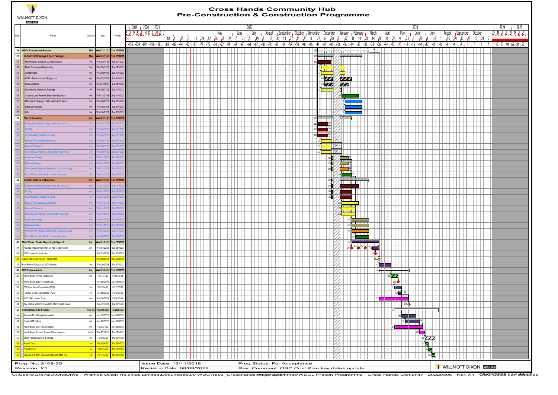

## **Cross Hands Community Hub Pre-Construction & Construction Programme**

| <b>SINCE 1852</b>                                    |                |                                  |                               |                                                      |        |          |            |     |                  |                     |                                                                       |           |                             |                        |      |        |                          |                                                                   |                                                                                               |                  |      |            |                                 |      |                    |                         |    |  |                                                  |                           |                                     |      |
|------------------------------------------------------|----------------|----------------------------------|-------------------------------|------------------------------------------------------|--------|----------|------------|-----|------------------|---------------------|-----------------------------------------------------------------------|-----------|-----------------------------|------------------------|------|--------|--------------------------|-------------------------------------------------------------------|-----------------------------------------------------------------------------------------------|------------------|------|------------|---------------------------------|------|--------------------|-------------------------|----|--|--------------------------------------------------|---------------------------|-------------------------------------|------|
|                                                      |                |                                  |                               | 2019 2020 2021                                       |        |          |            |     |                  |                     | 2022                                                                  |           |                             |                        |      |        |                          |                                                                   |                                                                                               |                  |      |            |                                 | 2023 |                    |                         |    |  |                                                  |                           | 2024                                | 2025 |
|                                                      |                |                                  |                               | 5. . J. . M. . S. . J. . M. . S. . J. . M. . S. . J  |        |          |            |     | <sub>I</sub> May |                     | June                                                                  | July      |                             |                        |      |        |                          | August Geptember October November December January February March |                                                                                               |                  |      | April      | May                             |      | June               | July <sub>I</sub>       |    |  | August Geptember Cctober                         |                           | <u>րքերի, դերք, դերի, դերք, դեր</u> |      |
| Name                                                 | Duration       | Start                            | Finish                        |                                                      | 18, 11 | . 45. 41 |            |     |                  | 15 29 21 26 10 24 7 | - 5<br>1/1                                                            | 19.       | 16                          | $30 \quad 13 \quad 27$ | - 11 | 125.18 | -6<br>12.                | 120                                                               | $-13$ , $-17$ , $-31$ , $-14$ , $-28$ , $-14$ , $-28$ , $-11$ , $-25$ , $-9$ , $-23$ , $-6$ , |                  |      |            |                                 |      | $1^{20}$ , $1^4$ . | 18, 1                   |    |  | $15$ , $129$ , $12$ , $26$ , $10$ , $24$ , $7$ m |                           |                                     |      |
|                                                      |                |                                  |                               | $-256$ $-224$ $-192$ $-160$ $-128$ $-88$ $-86$ $-84$ |        | -82      | -80<br>-78 | -76 | -74<br>-72 1     |                     | 1 -70 <sub>1</sub> -68 <sub>1</sub> -66 <sub>1</sub> -64 <sub>1</sub> | -62 i -60 | -58                         |                        |      |        |                          |                                                                   |                                                                                               |                  |      |            |                                 |      |                    |                         |    |  |                                                  |                           |                                     |      |
| <b>WDCL Procurement Process</b>                      |                |                                  | 13w Wed 23/11/22 Tue 07/03/23 |                                                      |        |          |            |     |                  |                     |                                                                       |           |                             |                        |      |        | प्रमाण                   |                                                                   | <b>ATHLET HERE</b>                                                                            |                  | 3∦   |            |                                 |      |                    |                         |    |  |                                                  |                           |                                     |      |
| Market Test Drawings & Spec Packages                 | 11w            | Wed 23/11/22 Tue 21/02/23        |                               |                                                      |        |          |            |     |                  |                     |                                                                       |           |                             |                        |      |        |                          | 4                                                                 | $\sqrt{m}$                                                                                    |                  |      |            |                                 |      |                    |                         |    |  |                                                  |                           |                                     |      |
| Miscellanious Steelwork (Cat ladders etc)            | 4w             | Wed 23/11/22                     | Tue 20/12/22                  |                                                      |        |          |            |     |                  |                     |                                                                       |           |                             |                        |      |        |                          |                                                                   |                                                                                               |                  |      |            |                                 |      |                    |                         |    |  |                                                  |                           |                                     |      |
| Metal Staircases & Balustrading                      | $5w$           | Wed 30/11/22                     | Tue 17/01/23                  |                                                      |        |          |            |     |                  |                     |                                                                       |           |                             |                        |      |        |                          | $\overline{\phantom{a}}$                                          |                                                                                               |                  |      |            |                                 |      |                    |                         |    |  |                                                  |                           |                                     |      |
| Sanitaryware                                         | 5w             | Wed 30/11/22                     | Tue 17/01/23                  |                                                      |        |          |            |     |                  |                     |                                                                       |           |                             |                        |      |        |                          | <b>kurdi ku</b><br>$\sqrt{1}$<br>Æ                                |                                                                                               |                  |      |            |                                 |      |                    |                         |    |  |                                                  |                           |                                     |      |
| FF&E - Fixed furniture & Equipment                   | $6w$           | Wed 07/12/22                     | Tue 31/01/23                  |                                                      |        |          |            |     |                  |                     |                                                                       |           |                             |                        |      |        |                          | <b>SALE</b>                                                       | $\overline{\phantom{a}}$                                                                      |                  |      |            |                                 |      |                    |                         |    |  |                                                  |                           |                                     |      |
| kitchen catering                                     | 5w             | Wed 07/12/22                     | Tue 24/01/23                  |                                                      |        |          |            |     |                  |                     |                                                                       |           |                             |                        |      |        |                          | $\mathcal{L}$                                                     | $\mathbf{Z}$                                                                                  |                  |      |            |                                 |      |                    |                         |    |  |                                                  |                           |                                     |      |
| Demolition & Alterations Package                     | $4w$           | Wed 30/11/22                     | Tue 10/01/23                  |                                                      |        |          |            |     |                  |                     |                                                                       |           |                             |                        |      |        |                          |                                                                   |                                                                                               |                  |      |            |                                 |      |                    |                         |    |  |                                                  |                           |                                     |      |
| Superstructure Frame & Secondary Steelwork           | $5w$           | Wed 11/01/23                     | Tue 14/02/23                  |                                                      |        |          |            |     |                  |                     |                                                                       |           |                             |                        |      |        |                          |                                                                   |                                                                                               |                  |      |            |                                 |      |                    |                         |    |  |                                                  |                           |                                     |      |
| Mechanical Package, Public health & Sprinklers       | $5w$           | Wed 18/01/2                      | Tue 21/02/23                  |                                                      |        |          |            |     |                  |                     |                                                                       |           |                             |                        |      |        |                          |                                                                   |                                                                                               |                  |      |            |                                 |      |                    |                         |    |  |                                                  |                           |                                     |      |
| Electrical Package                                   | $5w$           | Wed 18/01/23                     | Tue 21/02/23                  |                                                      |        |          |            |     |                  |                     |                                                                       |           |                             |                        |      |        |                          |                                                                   |                                                                                               |                  |      |            |                                 |      |                    |                         |    |  |                                                  |                           |                                     |      |
| Lifts                                                | 5w             | Wed 18/01/23                     | Tue 21/02/23                  |                                                      |        |          |            |     |                  |                     |                                                                       |           |                             |                        |      |        |                          |                                                                   |                                                                                               |                  |      |            |                                 |      |                    |                         |    |  |                                                  |                           |                                     |      |
| <b>Bills of Quantities</b>                           | 8w             | Wed 23/11/22 Tue 31/01/23        |                               |                                                      |        |          |            |     |                  |                     |                                                                       |           |                             |                        |      |        |                          |                                                                   |                                                                                               |                  |      |            |                                 |      |                    |                         |    |  |                                                  |                           |                                     |      |
| dernal Facade (Cladding, louvres Bris soleil etc)    |                |                                  | e 13/12                       |                                                      |        |          |            |     |                  |                     |                                                                       |           |                             |                        |      |        |                          |                                                                   |                                                                                               |                  |      |            |                                 |      |                    |                         |    |  |                                                  |                           |                                     |      |
| ofing                                                |                | ed 23/1                          | ue 13/12/                     |                                                      |        |          |            |     |                  |                     |                                                                       |           |                             |                        |      |        | $\overline{\phantom{a}}$ |                                                                   |                                                                                               |                  |      |            |                                 |      |                    |                         |    |  |                                                  |                           |                                     |      |
| Curtain walling, Windows & Doors                     |                | led 23/1                         | ue 13/12/                     |                                                      |        |          |            |     |                  |                     |                                                                       |           |                             |                        |      |        |                          |                                                                   |                                                                                               |                  |      |            |                                 |      |                    |                         |    |  |                                                  |                           |                                     |      |
| ternal Wall, Ceilings & Bulkheads                    |                | ed 30/1                          | ue 20/12                      |                                                      |        |          |            |     |                  |                     |                                                                       |           |                             |                        |      |        |                          | W)                                                                |                                                                                               |                  |      |            |                                 |      |                    |                         |    |  |                                                  |                           |                                     |      |
| ternal Finishes inc.                                 |                | led 30/1                         | ue 20/12                      |                                                      |        |          |            |     |                  |                     |                                                                       |           |                             |                        |      |        |                          | $\sim$                                                            |                                                                                               |                  |      |            |                                 |      |                    |                         |    |  |                                                  |                           |                                     |      |
| arpentry & Joinery (Int Doors, screen, desks etc)    |                | ed 30/1                          | ue 20/12                      |                                                      |        |          |            |     |                  |                     |                                                                       |           |                             |                        |      |        |                          | W,                                                                |                                                                                               |                  |      |            |                                 |      |                    |                         |    |  |                                                  |                           |                                     |      |
| Indscape Design                                      |                | led 21/12                        | ue 24/01                      |                                                      |        |          |            |     |                  |                     |                                                                       |           |                             |                        |      |        |                          |                                                                   |                                                                                               |                  |      |            |                                 |      |                    |                         |    |  |                                                  |                           |                                     |      |
| ghways Design                                        |                | ed 21/1                          | ue 24/01                      |                                                      |        |          |            |     |                  |                     |                                                                       |           |                             |                        |      |        |                          |                                                                   | Ξ                                                                                             |                  |      |            |                                 |      |                    |                         |    |  |                                                  |                           |                                     |      |
| roundworks Package: Earthworks, Subs & Drainage      |                | led 21/1:                        | ue 24/01                      |                                                      |        |          |            |     |                  |                     |                                                                       |           |                             |                        |      |        |                          |                                                                   |                                                                                               |                  |      |            |                                 |      |                    |                         |    |  |                                                  |                           |                                     |      |
| Upper Floors, Lift shafts & concrete staircases      |                | ed 11/                           | ie 31/0                       |                                                      |        |          |            |     |                  |                     |                                                                       |           |                             |                        |      |        |                          |                                                                   |                                                                                               |                  |      |            |                                 |      |                    |                         |    |  |                                                  |                           |                                     |      |
| <b>Market Test Bills of Quantities</b>               | 9 <sub>W</sub> | Wed 21/12/22 Tue 07/03/23        |                               |                                                      |        |          |            |     |                  |                     |                                                                       |           |                             |                        |      |        |                          |                                                                   | $\overline{\phantom{a}}$<br><u>ma matat</u>                                                   |                  |      |            |                                 |      |                    |                         |    |  |                                                  |                           |                                     |      |
| xternal Facade (Cladding, louvres Bris soleil etc)   |                | ed 21/                           | ie 14/01                      |                                                      |        |          |            |     |                  |                     |                                                                       |           |                             |                        |      |        |                          |                                                                   |                                                                                               |                  |      |            |                                 |      |                    |                         |    |  |                                                  |                           |                                     |      |
| pnito                                                |                | dd 21/1                          | ue 31/01                      |                                                      |        |          |            |     |                  |                     |                                                                       |           |                             |                        |      |        |                          |                                                                   |                                                                                               |                  |      |            |                                 |      |                    |                         |    |  |                                                  |                           |                                     |      |
| urtain walling, Windows & Doors                      |                | dd 21/                           | ue 31/0                       |                                                      |        |          |            |     |                  |                     |                                                                       |           |                             |                        |      |        |                          | т                                                                 | .                                                                                             |                  |      |            |                                 |      |                    |                         |    |  |                                                  |                           |                                     |      |
| Internal Wall, Ceilings & Bulkheads                  |                | led 118                          | ie 14/02                      |                                                      |        |          |            |     |                  |                     |                                                                       |           |                             |                        |      |        |                          |                                                                   |                                                                                               |                  |      |            |                                 |      |                    |                         |    |  |                                                  |                           |                                     |      |
| nternal Finishes inc.                                |                | ed 11/                           | ie 07                         |                                                      |        |          |            |     |                  |                     |                                                                       |           |                             |                        |      |        |                          |                                                                   | .                                                                                             |                  |      |            |                                 |      |                    |                         |    |  |                                                  |                           |                                     |      |
| arpentry & Joinery (Int Doors, screen, desks etc)    |                | led 11/                          |                               |                                                      |        |          |            |     |                  |                     |                                                                       |           |                             |                        |      |        |                          |                                                                   | $\overline{\phantom{0}}$                                                                      |                  |      |            |                                 |      |                    |                         |    |  |                                                  |                           |                                     |      |
| andscape Design                                      |                |                                  | <b>Je 07/02</b>               |                                                      |        |          |            |     |                  |                     |                                                                       |           |                             |                        |      |        |                          |                                                                   |                                                                                               |                  |      |            |                                 |      |                    |                         |    |  |                                                  |                           |                                     |      |
| ghways Design                                        |                |                                  | ue 07/03                      |                                                      |        |          |            |     |                  |                     |                                                                       |           |                             |                        |      |        |                          |                                                                   |                                                                                               |                  |      |            |                                 |      |                    |                         |    |  |                                                  |                           |                                     |      |
| roundworks Package: Earthworks, Subs & Drainage      |                |                                  | ue 07/03                      |                                                      |        |          |            |     |                  |                     |                                                                       |           |                             |                        |      |        |                          |                                                                   |                                                                                               |                  |      |            |                                 |      |                    |                         |    |  |                                                  |                           |                                     |      |
| Upper Floors, Lift shafts & concrete staircases      |                |                                  | ue 07/03                      |                                                      |        |          |            |     |                  |                     |                                                                       |           |                             |                        |      |        |                          |                                                                   |                                                                                               |                  |      |            |                                 |      |                    |                         |    |  |                                                  |                           |                                     |      |
| Main Works: Tender Reporting & Sign off              | 8w             | Wed 01/02/23 Tue 28/03/23        |                               |                                                      |        |          |            |     |                  |                     |                                                                       |           |                             |                        |      |        |                          |                                                                   |                                                                                               |                  |      |            |                                 |      |                    |                         |    |  |                                                  |                           |                                     |      |
| Populate Procurement Plan & Final Tender Report      | $2w$           | Wed 01/02/23                     | Tue 28/03/23                  |                                                      |        |          |            |     |                  |                     |                                                                       |           |                             |                        |      |        |                          |                                                                   |                                                                                               | 14 2 2 2 2 2 2 3 |      |            |                                 |      |                    |                         |    |  |                                                  |                           |                                     |      |
| WDCL Internal Adjudication                           |                | Wed 22/03/23                     | Wed 22/03/23                  |                                                      |        |          |            |     |                  |                     |                                                                       |           |                             |                        |      |        |                          |                                                                   |                                                                                               |                  | 145  |            |                                 |      |                    |                         |    |  |                                                  |                           |                                     |      |
| Issue Final Tender Report - Target cost              |                | Wed 29/03/                       | Wed 29/03/2                   |                                                      |        |          |            |     |                  |                     |                                                                       |           |                             |                        |      |        |                          |                                                                   |                                                                                               |                  | 46 O |            |                                 |      |                    |                         |    |  |                                                  |                           |                                     |      |
| Final Review Target Cost (PQS Gleeds)                | $3w$           | Wed 29/03/23                     | Thu 20/04/23                  |                                                      |        |          |            |     |                  |                     |                                                                       |           |                             |                        |      |        |                          |                                                                   |                                                                                               |                  |      | التاليات   |                                 |      |                    |                         |    |  |                                                  |                           |                                     |      |
| <b>FBC Estates Annex</b>                             | 8w             | Wed 29/03/23                     | Tue 30/05/23                  |                                                      |        |          |            |     |                  |                     |                                                                       |           |                             |                        |      |        |                          |                                                                   |                                                                                               |                  |      | 148        |                                 |      |                    |                         |    |  |                                                  |                           |                                     |      |
| Health Board Review Target Cost                      | 2w             | Fri 21/04/23                     | Fri 05/05/23                  |                                                      |        |          |            |     |                  |                     |                                                                       |           |                             |                        |      |        |                          |                                                                   |                                                                                               |                  |      |            | 49 7 7                          |      |                    |                         |    |  |                                                  |                           |                                     |      |
| Health Board Sign off Target Cost                    |                | Mon 08/05/23                     | Mon 08/05/23                  |                                                      |        |          |            |     |                  |                     |                                                                       |           |                             |                        |      |        |                          |                                                                   |                                                                                               |                  |      |            | $\frac{1}{150}$                 |      |                    |                         |    |  |                                                  |                           |                                     |      |
| FBC Cost forms Preperation (PQS)                     | $2w$           | Fri 28/04/23                     | Fri 12/05/23                  |                                                      |        |          |            |     |                  |                     |                                                                       |           |                             |                        |      |        |                          |                                                                   |                                                                                               |                  |      |            | الكا                            |      |                    |                         |    |  |                                                  |                           |                                     |      |
| FBC Life Cycle costing forms (PQS)                   | 1W             | Mon 08/05/23                     | Fri 12/05/23                  |                                                      |        |          |            |     |                  |                     |                                                                       |           |                             |                        |      |        |                          |                                                                   |                                                                                               |                  |      |            | 2w<br>152                       |      |                    |                         |    |  |                                                  |                           |                                     |      |
| WDC OBC estates Annex                                | 8w             | Wed 29/03/2                      | Fri 26/05/23                  |                                                      |        |          |            |     |                  |                     |                                                                       |           |                             |                        |      |        |                          |                                                                   |                                                                                               |                  |      | <u>a d</u> | -                               |      |                    |                         |    |  |                                                  |                           |                                     |      |
| Key Date all Willmott Dixon FBC info to Health Board |                | Tue 30/05/23                     | Tue 30/05/23                  |                                                      |        |          |            |     |                  |                     |                                                                       |           |                             |                        |      |        |                          |                                                                   |                                                                                               |                  |      |            |                                 | 154  |                    |                         |    |  |                                                  |                           |                                     |      |
| <b>Health Board FBC Process</b>                      |                | 12w 3d Fri 28/04/23 Fri 28/07/23 |                               |                                                      |        |          |            |     |                  |                     |                                                                       |           |                             |                        |      |        |                          |                                                                   |                                                                                               |                  |      |            | <del>.</del><br>$\frac{1}{100}$ |      |                    |                         | ⊣⊩ |  |                                                  |                           |                                     |      |
| Revenue Modelleing (area based)                      | 4w             | Mon 15/05/23 Mon 12/06/23        |                               |                                                      |        |          |            |     |                  |                     |                                                                       |           |                             |                        |      |        |                          |                                                                   |                                                                                               |                  |      |            |                                 | 156  |                    |                         |    |  |                                                  |                           |                                     |      |
| Financial Modelling                                  | $4w$           | Mon 22/05/23                     | Mon 19/06/23                  |                                                      |        |          |            |     |                  |                     |                                                                       |           |                             |                        |      |        |                          |                                                                   |                                                                                               |                  |      |            |                                 | 57   |                    |                         |    |  |                                                  |                           |                                     |      |
| Health Board Main FBC document                       | 8w             | Fri 28/04/23                     | Mon 26/06/23                  |                                                      |        |          |            |     |                  |                     |                                                                       |           |                             |                        |      |        |                          |                                                                   |                                                                                               |                  |      | 158        |                                 |      |                    |                         |    |  |                                                  |                           |                                     |      |
| Health Board Produce Papers & Exec summary           | 1w3d           | Tue 20/06/23                     | Thu 29/06/23                  |                                                      |        |          |            |     |                  |                     |                                                                       |           |                             |                        |      |        |                          |                                                                   |                                                                                               |                  |      |            |                                 |      |                    |                         |    |  |                                                  |                           |                                     |      |
| Board Papers Approval & Upload                       | $3w$           | Fri 30/06/23                     | Thu 20/07/23                  |                                                      |        |          |            |     |                  |                     |                                                                       |           |                             |                        |      |        |                          |                                                                   |                                                                                               |                  |      |            |                                 |      |                    | 77                      |    |  |                                                  |                           |                                     |      |
| Project Team                                         | 1w             | Fri 30/06/23                     | Thu 06/07/2                   |                                                      |        |          |            |     |                  |                     |                                                                       |           |                             |                        |      |        |                          |                                                                   |                                                                                               |                  |      |            |                                 |      |                    | $\overline{\mathbf{v}}$ |    |  |                                                  |                           |                                     |      |
| Project Group                                        | 1W             | Fri 07/07/23                     | Thu 13/07/23                  |                                                      |        |          |            |     |                  |                     |                                                                       |           |                             |                        |      |        |                          |                                                                   |                                                                                               |                  |      |            |                                 |      |                    | $\mathbf{Z}$            |    |  |                                                  |                           |                                     |      |
| Capital Est & IM&T Sub Committee (CEIM&T SC)         | 1w             | Fri 14/07/23                     | Thu 20/07/23                  |                                                      |        |          |            |     |                  |                     |                                                                       |           |                             |                        |      |        |                          |                                                                   |                                                                                               |                  |      |            |                                 |      |                    | ×Д                      |    |  |                                                  |                           |                                     |      |
| Prog. No: 2108-35                                    |                |                                  |                               | Issue Date: 12/11/2018                               |        |          |            |     |                  |                     |                                                                       |           | Prog.Status: For Acceptance |                        |      |        |                          |                                                                   |                                                                                               |                  |      |            |                                 |      |                    |                         |    |  |                                                  |                           |                                     |      |
|                                                      |                |                                  |                               |                                                      |        |          |            |     |                  |                     |                                                                       |           |                             |                        |      |        |                          |                                                                   |                                                                                               |                  |      |            |                                 |      |                    |                         |    |  |                                                  | WILLMOTT DIXON SINCE 1852 |                                     |      |